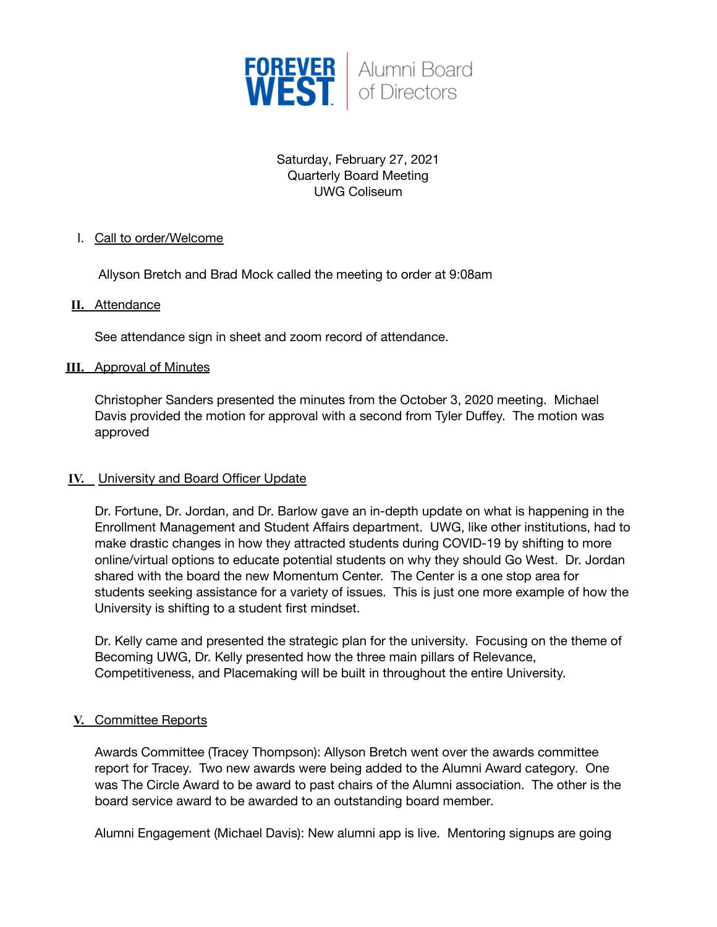

# Saturday, February 27, 2021 Quarterly Board Meeting UWG Coliseum

## I. Call to order/Welcome

Allyson Bretch and Brad Mock called the meeting to order at 9:08am

### **II.** Attendance

See attendance sign in sheet and zoom record of attendance.

### **III.** Approval of Minutes

Christopher Sanders presented the minutes from the October 3, 2020 meeting. Michael Davis provided the motion for approval with a second from Tyler Duffey. The motion was approved

### **IV.** University and Board Officer Update

Dr. Fortune, Dr. Jordan, and Dr. Barlow gave an in-depth update on what is happening in the Enrollment Management and Student Affairs department. UWG, like other institutions, had to make drastic changes in how they attracted students during COVID-19 by shifting to more online/virtual options to educate potential students on why they should Go West. Dr. Jordan shared with the board the new Momentum Center. The Center is a one stop area for students seeking assistance for a variety of issues. This is just one more example of how the University is shifting to a student first mindset.

Dr. Kelly came and presented the strategic plan for the university. Focusing on the theme of Becoming UWG, Dr. Kelly presented how the three main pillars of Relevance, Competitiveness, and Placemaking will be built in throughout the entire University.

### **V.** Committee Reports

Awards Committee (Tracey Thompson): Allyson Bretch went over the awards committee report for Tracey. Two new awards were being added to the Alumni Award category. One was The Circle Award to be award to past chairs of the Alumni association. The other is the board service award to be awarded to an outstanding board member.

Alumni Engagement (Michael Davis): New alumni app is live. Mentoring signups are going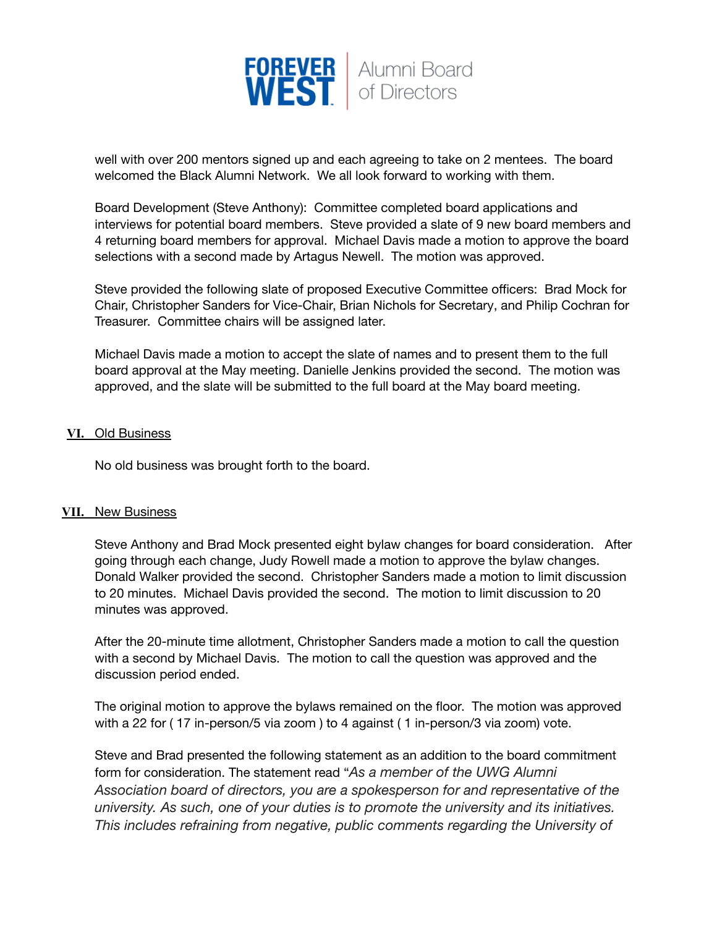

well with over 200 mentors signed up and each agreeing to take on 2 mentees. The board welcomed the Black Alumni Network. We all look forward to working with them.

Board Development (Steve Anthony): Committee completed board applications and interviews for potential board members. Steve provided a slate of 9 new board members and 4 returning board members for approval. Michael Davis made a motion to approve the board selections with a second made by Artagus Newell. The motion was approved.

Steve provided the following slate of proposed Executive Committee officers: Brad Mock for Chair, Christopher Sanders for Vice-Chair, Brian Nichols for Secretary, and Philip Cochran for Treasurer. Committee chairs will be assigned later.

Michael Davis made a motion to accept the slate of names and to present them to the full board approval at the May meeting. Danielle Jenkins provided the second. The motion was approved, and the slate will be submitted to the full board at the May board meeting.

#### **VI.** Old Business

No old business was brought forth to the board.

#### **VII.** New Business

Steve Anthony and Brad Mock presented eight bylaw changes for board consideration. After going through each change, Judy Rowell made a motion to approve the bylaw changes. Donald Walker provided the second. Christopher Sanders made a motion to limit discussion to 20 minutes. Michael Davis provided the second. The motion to limit discussion to 20 minutes was approved.

After the 20-minute time allotment, Christopher Sanders made a motion to call the question with a second by Michael Davis. The motion to call the question was approved and the discussion period ended.

The original motion to approve the bylaws remained on the floor. The motion was approved with a 22 for ( 17 in-person/5 via zoom ) to 4 against ( 1 in-person/3 via zoom) vote.

Steve and Brad presented the following statement as an addition to the board commitment form for consideration. The statement read "*As a member of the UWG Alumni Association board of directors, you are a spokesperson for and representative of the university. As such, one of your duties is to promote the university and its initiatives. This includes refraining from negative, public comments regarding the University of*